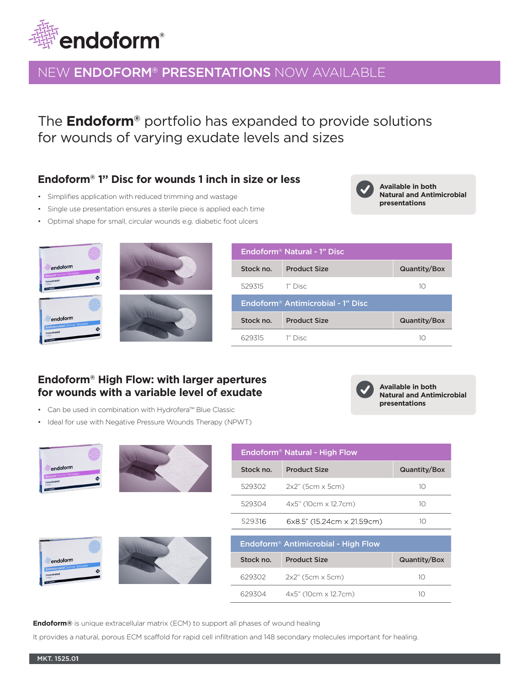

## NEW ENDOFORM® PRESENTATIONS NOW AVAILABLE

The **Endoform®** portfolio has expanded to provide solutions for wounds of varying exudate levels and sizes

## **Endoform® 1'' Disc for wounds 1 inch in size or less**

- Simplifies application with reduced trimming and wastage
- Single use presentation ensures a sterile piece is applied each time
- Optimal shape for small, circular wounds e.g. diabetic foot ulcers





| Endoform <sup>®</sup> Natural - 1" Disc       |                     |              |  |  |
|-----------------------------------------------|---------------------|--------------|--|--|
| Stock no.                                     | <b>Product Size</b> | Quantity/Box |  |  |
| 529315                                        | 1" Disc             | 10           |  |  |
| Endoform <sup>®</sup> Antimicrobial - 1" Disc |                     |              |  |  |
|                                               |                     |              |  |  |
| Stock no.                                     | <b>Product Size</b> | Quantity/Box |  |  |

## **Endoform® High Flow: with larger apertures for wounds with a variable level of exudate**

- Can be used in combination with Hydrofera™ Blue Classic
- Ideal for use with Negative Pressure Wounds Therapy (NPWT)



**Endoform®** is unique extracellular matrix (ECM) to support all phases of wound healing

It provides a natural, porous ECM scaffold for rapid cell infiltration and 148 secondary molecules important for healing.



**Available in both Natural and Antimicrobial presentations** 

**Available in both Natural and Antimicrobial** 

**presentations**